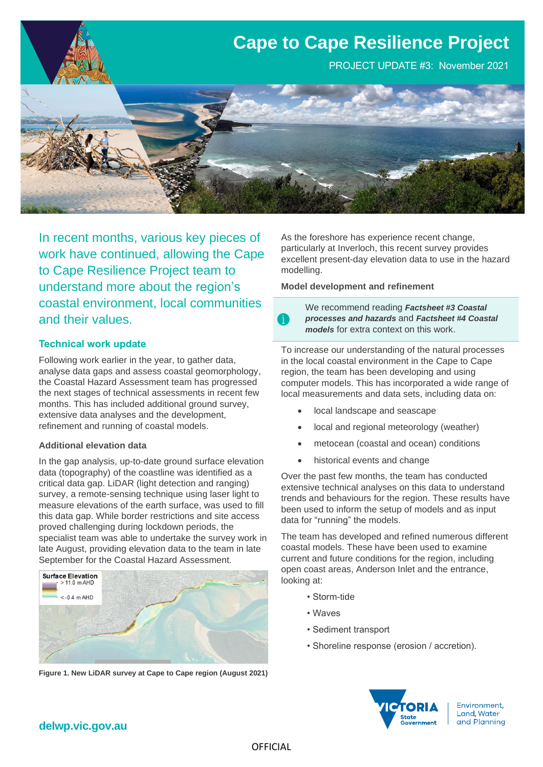

In recent months, various key pieces of work have continued, allowing the Cape to Cape Resilience Project team to understand more about the region's coastal environment, local communities and their values.

## **Technical work update**

Following work earlier in the year, to gather data, analyse data gaps and assess coastal geomorphology, the Coastal Hazard Assessment team has progressed the next stages of technical assessments in recent few months. This has included additional ground survey, extensive data analyses and the development, refinement and running of coastal models.

### **Additional elevation data**

In the gap analysis, up-to-date ground surface elevation data (topography) of the coastline was identified as a critical data gap. LiDAR (light detection and ranging) survey, a remote-sensing technique using laser light to measure elevations of the earth surface, was used to fill this data gap. While border restrictions and site access proved challenging during lockdown periods, the specialist team was able to undertake the survey work in late August, providing elevation data to the team in late September for the Coastal Hazard Assessment.



**Figure 1. New LiDAR survey at Cape to Cape region (August 2021)** 

As the foreshore has experience recent change, particularly at Inverloch, this recent survey provides excellent present-day elevation data to use in the hazard modelling.

#### **Model development and refinement**

We recommend reading *Factsheet #3 Coastal processes and hazards* and *Factsheet #4 Coastal models* for extra context on this work.

To increase our understanding of the natural processes in the local coastal environment in the Cape to Cape region, the team has been developing and using computer models. This has incorporated a wide range of local measurements and data sets, including data on:

- local landscape and seascape
- local and regional meteorology (weather)
- metocean (coastal and ocean) conditions
- historical events and change

Over the past few months, the team has conducted extensive technical analyses on this data to understand trends and behaviours for the region. These results have been used to inform the setup of models and as input data for "running" the models.

The team has developed and refined numerous different coastal models. These have been used to examine current and future conditions for the region, including open coast areas, Anderson Inlet and the entrance, looking at:

- Storm-tide
- Waves
- Sediment transport
- Shoreline response (erosion / accretion).



Environment, Land, Water and Planning

## **delwp.vic.gov.au**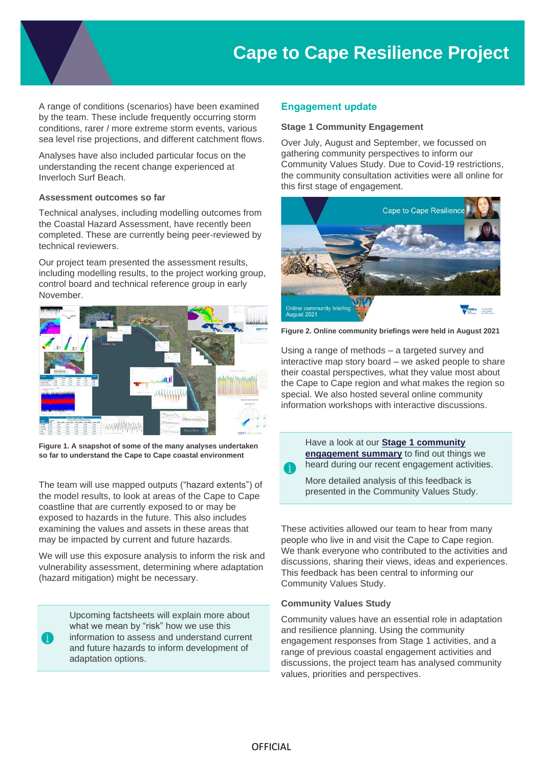# **Cape to Cape Resilience Project**

A range of conditions (scenarios) have been examined by the team. These include frequently occurring storm conditions, rarer / more extreme storm events, various sea level rise projections, and different catchment flows.

Analyses have also included particular focus on the understanding the recent change experienced at Inverloch Surf Beach.

#### **Assessment outcomes so far**

Technical analyses, including modelling outcomes from the Coastal Hazard Assessment, have recently been completed. These are currently being peer-reviewed by technical reviewers.

Our project team presented the assessment results, including modelling results, to the project working group, control board and technical reference group in early November.



**Figure 1. A snapshot of some of the many analyses undertaken so far to understand the Cape to Cape coastal environment** 

The team will use mapped outputs ("hazard extents") of the model results, to look at areas of the Cape to Cape coastline that are currently exposed to or may be exposed to hazards in the future. This also includes examining the values and assets in these areas that may be impacted by current and future hazards.

We will use this exposure analysis to inform the risk and vulnerability assessment, determining where adaptation (hazard mitigation) might be necessary.

> Upcoming factsheets will explain more about what we mean by "risk" how we use this information to assess and understand current and future hazards to inform development of adaptation options.

### **Engagement update**

#### **Stage 1 Community Engagement**

Over July, August and September, we focussed on gathering community perspectives to inform our Community Values Study. Due to Covid-19 restrictions, the community consultation activities were all online for this first stage of engagement.



**Figure 2. Online community briefings were held in August 2021** 

Using a range of methods – a targeted survey and interactive map story board – we asked people to share their coastal perspectives, what they value most about the Cape to Cape region and what makes the region so special. We also hosted several online community information workshops with interactive discussions.

Have a look at our **[Stage 1 community](https://www.marineandcoasts.vic.gov.au/__data/assets/pdf_file/0032/544757/Cape-to-Cape_Stage1_EngagementFindings_Oct21.pdf)  [engagement summary](https://www.marineandcoasts.vic.gov.au/__data/assets/pdf_file/0032/544757/Cape-to-Cape_Stage1_EngagementFindings_Oct21.pdf)** to find out things we heard during our recent engagement activities.

More detailed analysis of this feedback is presented in the Community Values Study.

These activities allowed our team to hear from many people who live in and visit the Cape to Cape region. We thank everyone who contributed to the activities and discussions, sharing their views, ideas and experiences. This feedback has been central to informing our Community Values Study.

#### **Community Values Study**

Community values have an essential role in adaptation and resilience planning. Using the community engagement responses from Stage 1 activities, and a range of previous coastal engagement activities and discussions, the project team has analysed community values, priorities and perspectives.